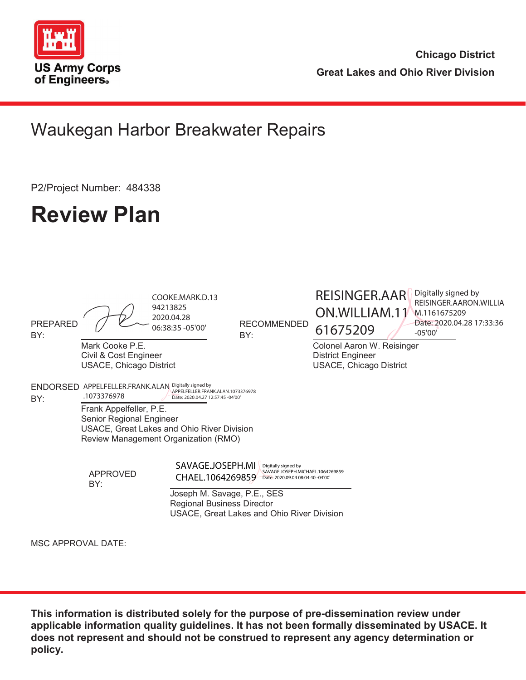

**Chicago District Great Lakes and Ohio River Division**

## Waukegan Harbor Breakwater Repairs

P2/Project Number: 484338

# **Review Plan**

| <b>PREPARED</b><br>BY:    |                                                                                                                                                                                                                                                                                           | COOKE.MARK.D.13<br>94213825<br>2020.04.28<br>06:38:35 - 05'00'   | <b>RECOMMENDED</b><br>BY:                                                                    | REISINGER.AAR<br>ON.WILLIAM.11<br>61675209                                        | Digitally signed by<br>REISINGER.AARON.WILLIA<br>M.1161675209<br>Date: 2020.04.28 17:33:36<br>$-05'00'$ |  |  |  |
|---------------------------|-------------------------------------------------------------------------------------------------------------------------------------------------------------------------------------------------------------------------------------------------------------------------------------------|------------------------------------------------------------------|----------------------------------------------------------------------------------------------|-----------------------------------------------------------------------------------|---------------------------------------------------------------------------------------------------------|--|--|--|
|                           | Mark Cooke P.E.<br>Civil & Cost Engineer<br><b>USACE, Chicago District</b>                                                                                                                                                                                                                |                                                                  |                                                                                              | Colonel Aaron W. Reisinger<br><b>District Engineer</b><br>USACE, Chicago District |                                                                                                         |  |  |  |
| BY:                       | ENDORSED APPELFELLER.FRANK.ALAN Digitally signed by<br>APPELFELLER.FRANK.ALAN.1073376978<br>.1073376978<br>Date: 2020.04.27 12:57:45 -04'00'<br>Frank Appelfeller, P.E.<br>Senior Regional Engineer<br>USACE, Great Lakes and Ohio River Division<br>Review Management Organization (RMO) |                                                                  |                                                                                              |                                                                                   |                                                                                                         |  |  |  |
|                           | APPROVED<br>BY:                                                                                                                                                                                                                                                                           | SAVAGE.JOSEPH.MI<br>CHAEL.1064269859                             | Digitally signed by<br>SAVAGE.JOSEPH.MICHAEL.1064269859<br>Date: 2020.09.04 08:04:40 -04'00' |                                                                                   |                                                                                                         |  |  |  |
|                           |                                                                                                                                                                                                                                                                                           | Joseph M. Savage, P.E., SES<br><b>Regional Business Director</b> | USACE, Great Lakes and Ohio River Division                                                   |                                                                                   |                                                                                                         |  |  |  |
| <b>MSC APPROVAL DATE:</b> |                                                                                                                                                                                                                                                                                           |                                                                  |                                                                                              |                                                                                   |                                                                                                         |  |  |  |

**This information is distributed solely for the purpose of pre-dissemination review under applicable information quality guidelines. It has not been formally disseminated by USACE. It does not represent and should not be construed to represent any agency determination or policy.**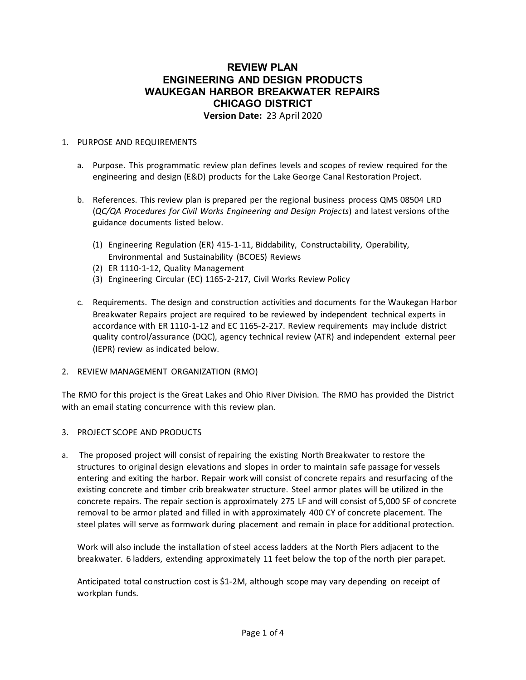#### **REVIEW PLAN ENGINEERING AND DESIGN PRODUCTS WAUKEGAN HARBOR BREAKWATER REPAIRS CHICAGO DISTRICT Version Date:** 23 April 2020

#### 1. PURPOSE AND REQUIREMENTS

- a. Purpose. This programmatic review plan defines levels and scopes of review required for the engineering and design (E&D) products for the Lake George Canal Restoration Project.
- b. References. This review plan is prepared per the regional business process QMS 08504 LRD (*QC/QA Procedures for Civil Works Engineering and Design Projects*) and latest versions ofthe guidance documents listed below.
	- (1) Engineering Regulation (ER) 415‐1‐11, Biddability, Constructability, Operability, Environmental and Sustainability (BCOES) Reviews
	- (2) ER 1110‐1‐12, Quality Management
	- (3) Engineering Circular (EC) 1165‐2‐217, Civil Works Review Policy
- c. Requirements. The design and construction activities and documents for the Waukegan Harbor Breakwater Repairs project are required to be reviewed by independent technical experts in accordance with ER 1110‐1‐12 and EC 1165‐2‐217. Review requirements may include district quality control/assurance (DQC), agency technical review (ATR) and independent external peer (IEPR) review as indicated below.
- 2. REVIEW MANAGEMENT ORGANIZATION (RMO)

The RMO for this project is the Great Lakes and Ohio River Division. The RMO has provided the District with an email stating concurrence with this review plan.

#### 3. PROJECT SCOPE AND PRODUCTS

a. The proposed project will consist of repairing the existing North Breakwater to restore the structures to original design elevations and slopes in order to maintain safe passage for vessels entering and exiting the harbor. Repair work will consist of concrete repairs and resurfacing of the existing concrete and timber crib breakwater structure. Steel armor plates will be utilized in the concrete repairs. The repair section is approximately 275 LF and will consist of 5,000 SF of concrete removal to be armor plated and filled in with approximately 400 CY of concrete placement. The steel plates will serve as formwork during placement and remain in place for additional protection.

Work will also include the installation of steel access ladders at the North Piers adjacent to the breakwater. 6 ladders, extending approximately 11 feet below the top of the north pier parapet.

Anticipated total construction cost is \$1‐2M, although scope may vary depending on receipt of workplan funds.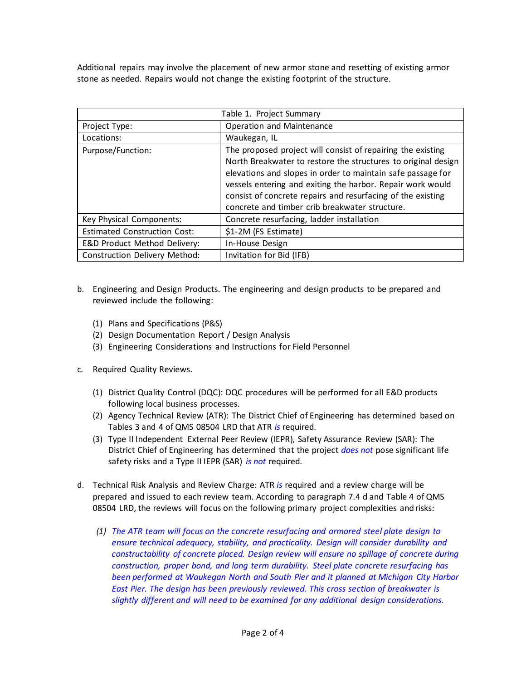Additional repairs may involve the placement of new armor stone and resetting of existing armor stone as needed. Repairs would not change the existing footprint of the structure.

| Table 1. Project Summary             |                                                                                                                                                                                                                                                                                                                                                                            |  |  |  |  |
|--------------------------------------|----------------------------------------------------------------------------------------------------------------------------------------------------------------------------------------------------------------------------------------------------------------------------------------------------------------------------------------------------------------------------|--|--|--|--|
| Project Type:                        | Operation and Maintenance                                                                                                                                                                                                                                                                                                                                                  |  |  |  |  |
| Locations:                           | Waukegan, IL                                                                                                                                                                                                                                                                                                                                                               |  |  |  |  |
| Purpose/Function:                    | The proposed project will consist of repairing the existing<br>North Breakwater to restore the structures to original design<br>elevations and slopes in order to maintain safe passage for<br>vessels entering and exiting the harbor. Repair work would<br>consist of concrete repairs and resurfacing of the existing<br>concrete and timber crib breakwater structure. |  |  |  |  |
| Key Physical Components:             | Concrete resurfacing, ladder installation                                                                                                                                                                                                                                                                                                                                  |  |  |  |  |
| <b>Estimated Construction Cost:</b>  | \$1-2M (FS Estimate)                                                                                                                                                                                                                                                                                                                                                       |  |  |  |  |
| E&D Product Method Delivery:         | In-House Design                                                                                                                                                                                                                                                                                                                                                            |  |  |  |  |
| <b>Construction Delivery Method:</b> | Invitation for Bid (IFB)                                                                                                                                                                                                                                                                                                                                                   |  |  |  |  |

- b. Engineering and Design Products. The engineering and design products to be prepared and reviewed include the following:
	- (1) Plans and Specifications (P&S)
	- (2) Design Documentation Report / Design Analysis
	- (3) Engineering Considerations and Instructions for Field Personnel
- c. Required Quality Reviews.
	- (1) District Quality Control (DQC): DQC procedures will be performed for all E&D products following local business processes.
	- (2) Agency Technical Review (ATR): The District Chief of Engineering has determined based on Tables 3 and 4 of QMS 08504 LRD that ATR *is* required.
	- (3) Type II Independent External Peer Review (IEPR), Safety Assurance Review (SAR): The District Chief of Engineering has determined that the project *does not* pose significant life safety risks and a Type II IEPR (SAR) *is not* required.
- d. Technical Risk Analysis and Review Charge: ATR *is* required and a review charge will be prepared and issued to each review team. According to paragraph 7.4 d and Table 4 of QMS 08504 LRD, the reviews will focus on the following primary project complexities and risks:
	- *(1) The ATR team will focus on the concrete resurfacing and armored steel plate design to ensure technical adequacy, stability, and practicality. Design will consider durability and constructability of concrete placed. Design review will ensure no spillage of concrete during construction, proper bond, and long term durability. Steel plate concrete resurfacing has been performed at Waukegan North and South Pier and it planned at Michigan City Harbor East Pier. The design has been previously reviewed. This cross section of breakwater is slightly different and will need to be examined for any additional design considerations.*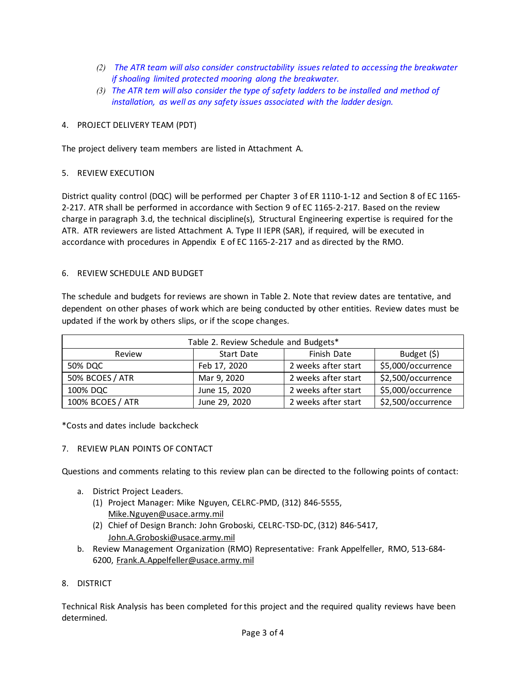- *(2) The ATR team will also consider constructability issues related to accessing the breakwater if shoaling limited protected mooring along the breakwater.*
- *(3) The ATR tem will also consider the type of safety ladders to be installed and method of installation, as well as any safety issues associated with the ladder design.*

#### 4. PROJECT DELIVERY TEAM (PDT)

The project delivery team members are listed in Attachment A.

#### 5. REVIEW EXECUTION

District quality control (DQC) will be performed per Chapter 3 of ER 1110-1-12 and Section 8 of EC 1165– 2‐217. ATR shall be performed in accordance with Section 9 of EC 1165‐2‐217. Based on the review charge in paragraph 3.d, the technical discipline(s), Structural Engineering expertise is required for the ATR. ATR reviewers are listed Attachment A. Type II IEPR (SAR), if required, will be executed in accordance with procedures in Appendix E of EC 1165‐2‐217 and as directed by the RMO.

#### 6. REVIEW SCHEDULE AND BUDGET

The schedule and budgets for reviews are shown in Table 2. Note that review dates are tentative, and dependent on other phases of work which are being conducted by other entities. Review dates must be updated if the work by others slips, or if the scope changes.

| Table 2. Review Schedule and Budgets* |               |                     |                    |  |  |  |
|---------------------------------------|---------------|---------------------|--------------------|--|--|--|
| Review                                | Start Date    | Finish Date         | Budget $(5)$       |  |  |  |
| 50% DQC                               | Feb 17, 2020  | 2 weeks after start | \$5,000/occurrence |  |  |  |
| 50% BCOES / ATR                       | Mar 9, 2020   | 2 weeks after start | \$2,500/occurrence |  |  |  |
| 100% DQC                              | June 15, 2020 | 2 weeks after start | \$5,000/occurrence |  |  |  |
| 100% BCOES / ATR                      | June 29, 2020 | 2 weeks after start | \$2,500/occurrence |  |  |  |

\*Costs and dates include backcheck

#### 7. REVIEW PLAN POINTS OF CONTACT

Questions and comments relating to this review plan can be directed to the following points of contact:

- a. District Project Leaders.
	- (1) Project Manager: Mike Nguyen, CELRC‐PMD, (312) 846‐5555, [Mike.Nguyen@usace.army.mil](mailto:Mike.Nguyen@usace.army.mil)
	- (2) Chief of Design Branch: John Groboski, CELRC‐TSD‐DC, (312) 846‐5417, [John.A.Groboski@usace.army.mil](mailto:John.A.Groboski@usace.army.mil)
- b. Review Management Organization (RMO) Representative: Frank Appelfeller, RMO, 513‐684‐ 6200, [Frank.A.Appelfeller@usace.army.mil](mailto:Frank.A.Appelfeller@usace.army.mil)

#### 8. DISTRICT

Technical Risk Analysis has been completed for this project and the required quality reviews have been determined.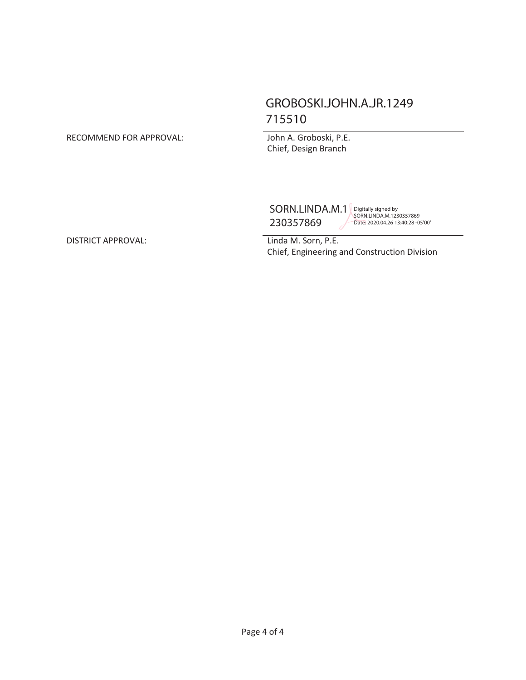### GROBOSKI.JOHN.A.JR.1249 715510

#### RECOMMEND FOR APPROVAL: John A. Groboski, P.E.

Chief, Design Branch

SORN.LINDA.M.1 230357869

Digitally signed by SORN.LINDA.M.1230357869 Date: 2020.04.26 13:40:28 -05'00'

Chief, Engineering and Construction Division

DISTRICT APPROVAL: Linda M. Sorn, P.E.